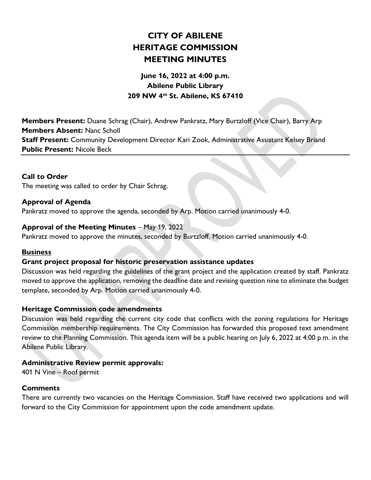# CITY OF ABILENE HERITAGE COMMISSION MEETING MINUTES

## June 16, 2022 at 4:00 p.m. Abilene Public Library 209 NW 4th St. Abilene, KS 67410

Members Present: Duane Schrag (Chair), Andrew Pankratz, Mary Burtzloff (Vice Chair), Barry Arp Members Absent: Nanc Scholl Staff Present: Community Development Director Kari Zook, Administrative Assistant Kelsey Briand Public Present: Nicole Beck

### Call to Order

The meeting was called to order by Chair Schrag.

#### Approval of Agenda

Pankratz moved to approve the agenda, seconded by Arp. Motion carried unanimously 4-0.

#### Approval of the Meeting Minutes – May 19, 2022

Pankratz moved to approve the minutes, seconded by Burtzloff. Motion carried unanimously 4-0.

#### **Business**

#### Grant project proposal for historic preservation assistance updates

Discussion was held regarding the guidelines of the grant project and the application created by staff. Pankratz moved to approve the application, removing the deadline date and revising question nine to eliminate the budget template, seconded by Arp. Motion carried unanimously 4-0.

#### Heritage Commission code amendments

Discussion was held regarding the current city code that conflicts with the zoning regulations for Heritage Commission membership requirements. The City Commission has forwarded this proposed text amendment review to the Planning Commission. This agenda item will be a public hearing on July 6, 2022 at 4:00 p.m. in the Abilene Public Library.

#### Administrative Review permit approvals:

401 N Vine – Roof permit

#### **Comments**

There are currently two vacancies on the Heritage Commission. Staff have received two applications and will forward to the City Commission for appointment upon the code amendment update.